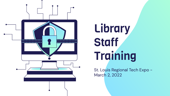

# **Library Staff Training**

St. Louis Regional Tech Expo - March 2, 2022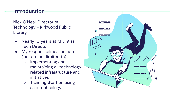## Introduction

Nick O'Neal, Director of Technology - Kirkwood Public Library

- Nearly 10 years at KPL, 9 as Tech Director
- My responsibilities include (but are not limited to)
	- Implementing and maintaining all technology related infrastructure and initiatives
	- **Training Staff** on using said technology

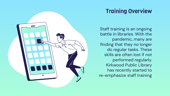

## Training Overview

Staff training is an ongoing battle in libraries. With the pandemic, many are finding that they no longer do regular tasks. These skills are often lost if not performed regularly. Kirkwood Public Library has recently started to re-emphasize staff training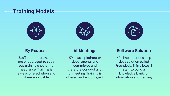## Training Models





| $\frac{1}{2}$ |
|---------------|
|               |
|               |

#### By Request

Staff and departments are encouraged to seek out training should the need arise. Training is always offered when and where applicable.

#### At Meetings

KPL has a plethora or departments and committee and therefore conduct a lot of meeting. Training is offered and encouraged.

#### Software Solution

KPL implements a help desk solution called Freshdesk. This allows IT staff to build a knowledge bank for information and training.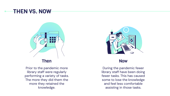### THEN VS. NOW



Prior to the pandemic more library staff were regularly performing a variety of tasks. The more they did them the more they retained the knowledge.



#### Now

During the pandemic fewer library staff have been doing fewer tasks. This has caused some to lose the knowledge and feel less comfortable assisting in those tasks.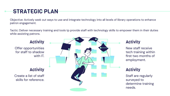## STRATEGIC PLAN

Objective: Actively seek out ways to use and integrate technology into all levels of library operations to enhance patron engagement.

Tactic: Deliver necessary training and tools tp provide staff with technology skills to empower them in their duties while assisting patrons.

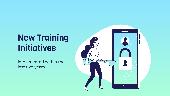## New Training **Initiatives**

Implemented within the last two years.

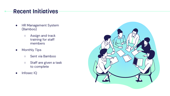## Recent Initiatives

- HR Management System (Bamboo)
	- Assign and track training for staff members
- **•** Monthly Tips
	- Sent via Bamboo
	- Staff are given a task to complete
- Infosec IQ

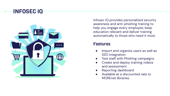### INFOSEC IQ



Infosec IQ provides personalized security awareness and anti-phishing training to help you engage every employee, keep education relevant and deliver training automatically to those who need it most.

#### Features

- Import and organize users as well as SSO integration
- Test staff with Phishing campaigns
- Create and deploy training videos and assessment
- Reporting dashboard
- Available at a discounted rate to MOREnet libraries.